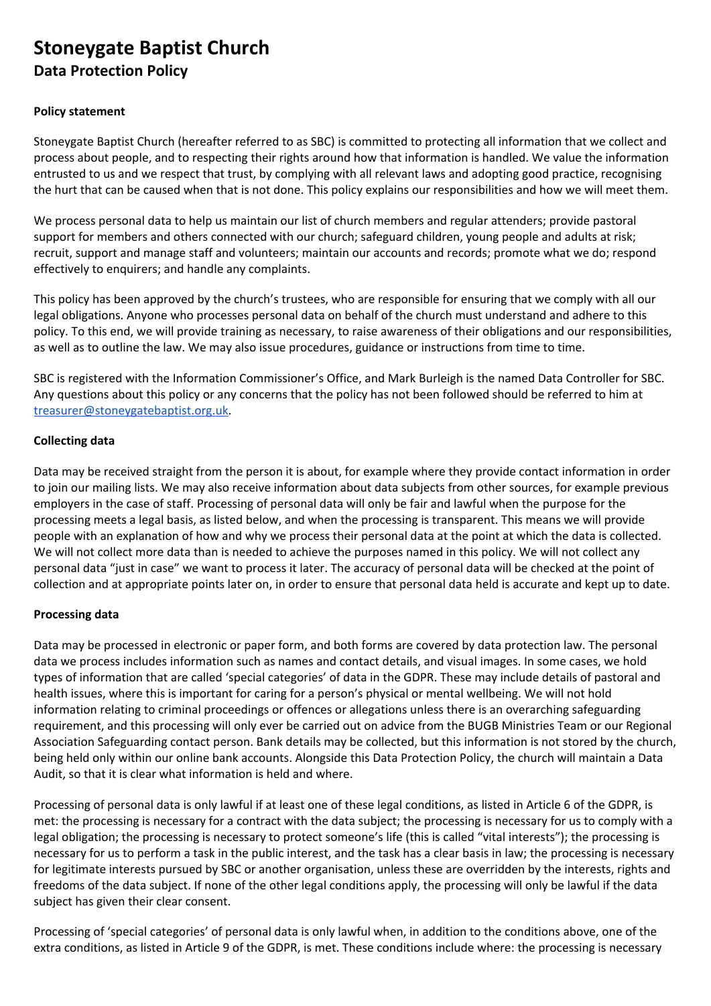# **Stoneygate Baptist Church Data Protection Policy**

## **Policy statement**

Stoneygate Baptist Church (hereafter referred to as SBC) is committed to protecting all information that we collect and process about people, and to respecting their rights around how that information is handled. We value the information entrusted to us and we respect that trust, by complying with all relevant laws and adopting good practice, recognising the hurt that can be caused when that is not done. This policy explains our responsibilities and how we will meet them.

We process personal data to help us maintain our list of church members and regular attenders; provide pastoral support for members and others connected with our church; safeguard children, young people and adults at risk; recruit, support and manage staff and volunteers; maintain our accounts and records; promote what we do; respond effectively to enquirers; and handle any complaints.

This policy has been approved by the church's trustees, who are responsible for ensuring that we comply with all our legal obligations. Anyone who processes personal data on behalf of the church must understand and adhere to this policy. To this end, we will provide training as necessary, to raise awareness of their obligations and our responsibilities, as well as to outline the law. We may also issue procedures, guidance or instructions from time to time.

SBC is registered with the Information Commissioner's Office, and Mark Burleigh is the named Data Controller for SBC. Any questions about this policy or any concerns that the policy has not been followed should be referred to him at [treasurer@stoneygatebaptist.org.uk](mailto:treasurer@stoneygatebaptist.org.uk).

# **Collecting data**

Data may be received straight from the person it is about, for example where they provide contact information in order to join our mailing lists. We may also receive information about data subjects from other sources, for example previous employers in the case of staff. Processing of personal data will only be fair and lawful when the purpose for the processing meets a legal basis, as listed below, and when the processing is transparent. This means we will provide people with an explanation of how and why we process their personal data at the point at which the data is collected. We will not collect more data than is needed to achieve the purposes named in this policy. We will not collect any personal data "just in case" we want to process it later. The accuracy of personal data will be checked at the point of collection and at appropriate points later on, in order to ensure that personal data held is accurate and kept up to date.

# **Processing data**

Data may be processed in electronic or paper form, and both forms are covered by data protection law. The personal data we process includes information such as names and contact details, and visual images. In some cases, we hold types of information that are called 'special categories' of data in the GDPR. These may include details of pastoral and health issues, where this is important for caring for a person's physical or mental wellbeing. We will not hold information relating to criminal proceedings or offences or allegations unless there is an overarching safeguarding requirement, and this processing will only ever be carried out on advice from the BUGB Ministries Team or our Regional Association Safeguarding contact person. Bank details may be collected, but this information is not stored by the church, being held only within our online bank accounts. Alongside this Data Protection Policy, the church will maintain a Data Audit, so that it is clear what information is held and where.

Processing of personal data is only lawful if at least one of these legal conditions, as listed in Article 6 of the GDPR, is met: the processing is necessary for a contract with the data subject; the processing is necessary for us to comply with a legal obligation; the processing is necessary to protect someone's life (this is called "vital interests"); the processing is necessary for us to perform a task in the public interest, and the task has a clear basis in law; the processing is necessary for legitimate interests pursued by SBC or another organisation, unless these are overridden by the interests, rights and freedoms of the data subject. If none of the other legal conditions apply, the processing will only be lawful if the data subject has given their clear consent.

Processing of 'special categories' of personal data is only lawful when, in addition to the conditions above, one of the extra conditions, as listed in Article 9 of the GDPR, is met. These conditions include where: the processing is necessary